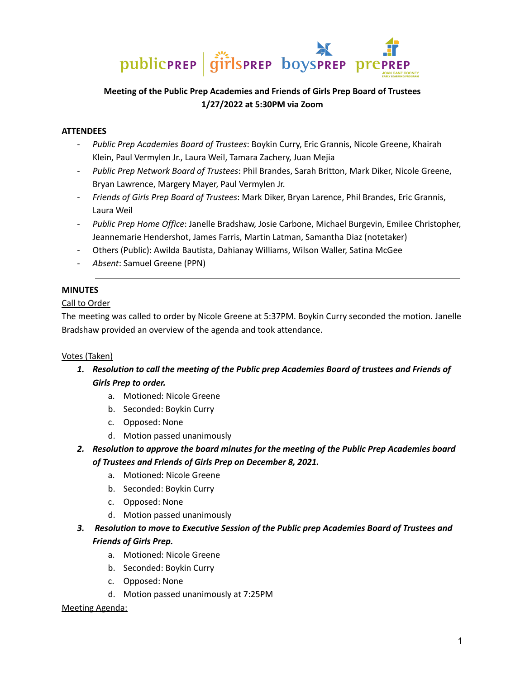

# **Meeting of the Public Prep Academies and Friends of Girls Prep Board of Trustees 1/27/2022 at 5:30PM via Zoom**

### **ATTENDEES**

- *Public Prep Academies Board of Trustees*: Boykin Curry, Eric Grannis, Nicole Greene, Khairah Klein, Paul Vermylen Jr., Laura Weil, Tamara Zachery, Juan Mejia
- *Public Prep Network Board of Trustees*: Phil Brandes, Sarah Britton, Mark Diker, Nicole Greene, Bryan Lawrence, Margery Mayer, Paul Vermylen Jr.
- *Friends of Girls Prep Board of Trustees*: Mark Diker, Bryan Larence, Phil Brandes, Eric Grannis, Laura Weil
- *Public Prep Home Office*: Janelle Bradshaw, Josie Carbone, Michael Burgevin, Emilee Christopher, Jeannemarie Hendershot, James Farris, Martin Latman, Samantha Diaz (notetaker)
- Others (Public): Awilda Bautista, Dahianay Williams, Wilson Waller, Satina McGee
- *Absent*: Samuel Greene (PPN)

### **MINUTES**

#### Call to Order

The meeting was called to order by Nicole Greene at 5:37PM. Boykin Curry seconded the motion. Janelle Bradshaw provided an overview of the agenda and took attendance.

#### Votes (Taken)

- *1. Resolution to call the meeting of the Public prep Academies Board of trustees and Friends of Girls Prep to order.*
	- a. Motioned: Nicole Greene
	- b. Seconded: Boykin Curry
	- c. Opposed: None
	- d. Motion passed unanimously
- *2. Resolution to approve the board minutes for the meeting of the Public Prep Academies board of Trustees and Friends of Girls Prep on December 8, 2021.*
	- a. Motioned: Nicole Greene
	- b. Seconded: Boykin Curry
	- c. Opposed: None
	- d. Motion passed unanimously
- *3. Resolution to move to Executive Session of the Public prep Academies Board of Trustees and Friends of Girls Prep.*
	- a. Motioned: Nicole Greene
	- b. Seconded: Boykin Curry
	- c. Opposed: None
	- d. Motion passed unanimously at 7:25PM

#### Meeting Agenda: